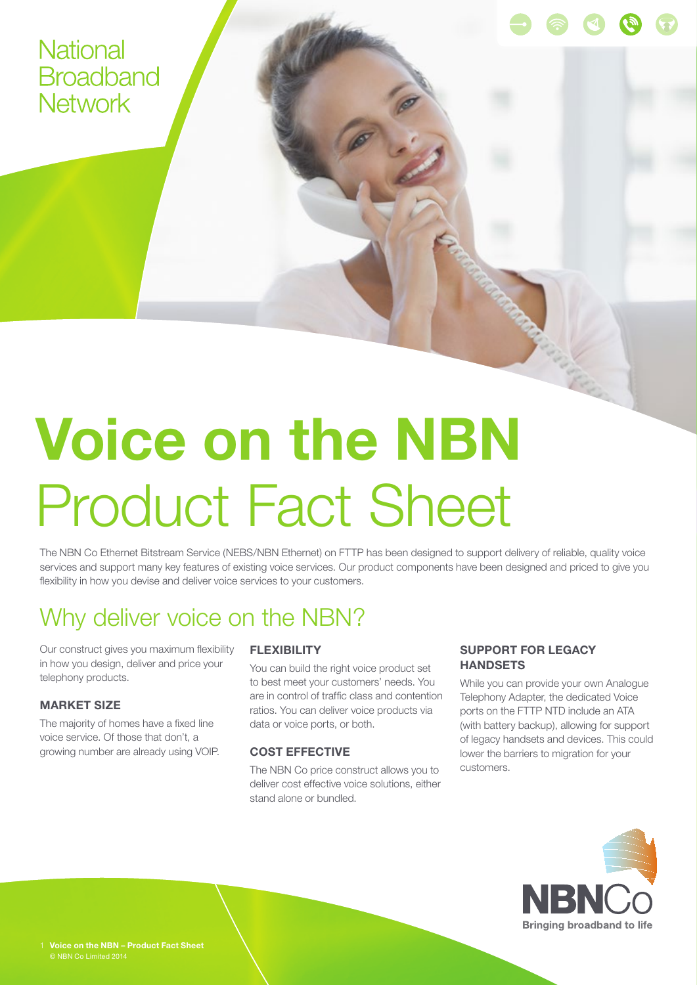### **National Broadband Network**

# **Voice on the NBN** Product Fact Sheet

The NBN Co Ethernet Bitstream Service (NEBS/NBN Ethernet) on FTTP has been designed to support delivery of reliable, quality voice services and support many key features of existing voice services. Our product components have been designed and priced to give you flexibility in how you devise and deliver voice services to your customers.

# Why deliver voice on the NBN?

Our construct gives you maximum flexibility in how you design, deliver and price your telephony products.

#### **MARKET SIZE**

The majority of homes have a fixed line voice service. Of those that don't, a growing number are already using VOIP.

#### **FLEXIBILITY**

You can build the right voice product set to best meet your customers' needs. You are in control of traffic class and contention ratios. You can deliver voice products via data or voice ports, or both.

#### **COST EFFECTIVE**

The NBN Co price construct allows you to deliver cost effective voice solutions, either stand alone or bundled.

#### **SUPPORT FOR LEGACY HANDSETS**

While you can provide your own Analogue Telephony Adapter, the dedicated Voice ports on the FTTP NTD include an ATA (with battery backup), allowing for support of legacy handsets and devices. This could lower the barriers to migration for your customers.

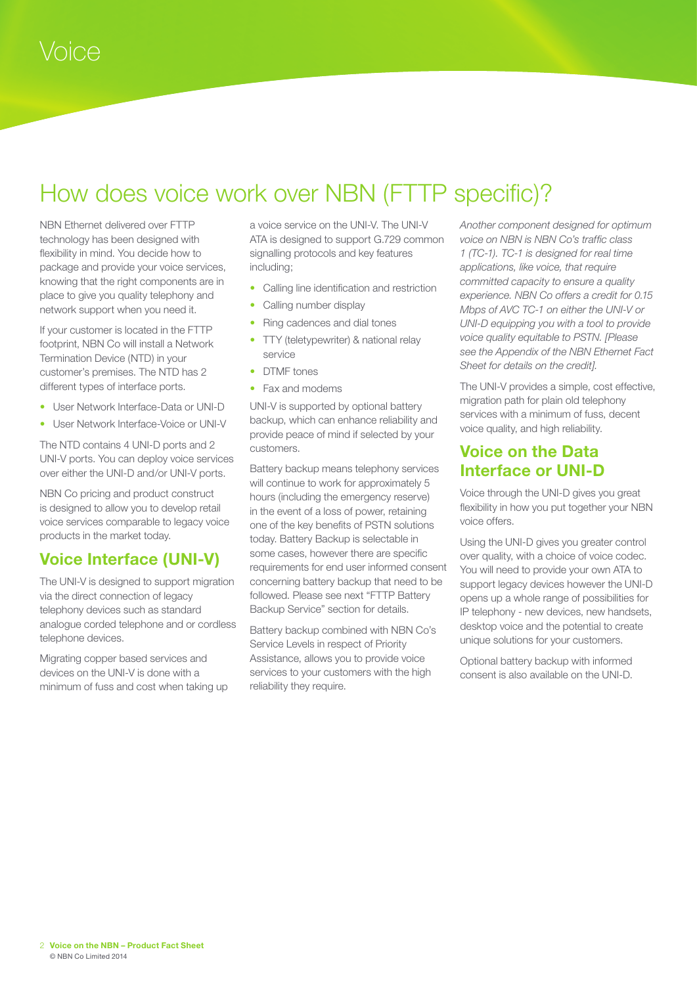# How does voice work over NBN (FTTP specific)?

NBN Ethernet delivered over FTTP technology has been designed with flexibility in mind. You decide how to package and provide your voice services, knowing that the right components are in place to give you quality telephony and network support when you need it.

If your customer is located in the FTTP footprint, NBN Co will install a Network Termination Device (NTD) in your customer's premises. The NTD has 2 different types of interface ports.

- User Network Interface-Data or UNI-D
- User Network Interface-Voice or UNI-V

The NTD contains 4 UNI-D ports and 2 UNI-V ports. You can deploy voice services over either the UNI-D and/or UNI-V ports.

NBN Co pricing and product construct is designed to allow you to develop retail voice services comparable to legacy voice products in the market today.

### **Voice Interface (UNI-V)**

The UNI-V is designed to support migration via the direct connection of legacy telephony devices such as standard analogue corded telephone and or cordless telephone devices.

Migrating copper based services and devices on the UNI-V is done with a minimum of fuss and cost when taking up a voice service on the UNI-V. The UNI-V ATA is designed to support G.729 common signalling protocols and key features including;

- Calling line identification and restriction
- Calling number display
- Ring cadences and dial tones
- TTY (teletypewriter) & national relay service
- DTMF tones
- Fax and modems

UNI-V is supported by optional battery backup, which can enhance reliability and provide peace of mind if selected by your customers.

Battery backup means telephony services will continue to work for approximately 5 hours (including the emergency reserve) in the event of a loss of power, retaining one of the key benefits of PSTN solutions today. Battery Backup is selectable in some cases, however there are specific requirements for end user informed consent concerning battery backup that need to be followed. Please see next "FTTP Battery Backup Service" section for details.

Battery backup combined with NBN Co's Service Levels in respect of Priority Assistance, allows you to provide voice services to your customers with the high reliability they require.

*Another component designed for optimum voice on NBN is NBN Co's traffic class 1 (TC-1). TC-1 is designed for real time applications, like voice, that require committed capacity to ensure a quality experience. NBN Co offers a credit for 0.15 Mbps of AVC TC-1 on either the UNI-V or UNI-D equipping you with a tool to provide voice quality equitable to PSTN. [Please see the Appendix of the NBN Ethernet Fact Sheet for details on the credit].* 

The UNI-V provides a simple, cost effective, migration path for plain old telephony services with a minimum of fuss, decent voice quality, and high reliability.

#### **Voice on the Data Interface or UNI-D**

Voice through the UNI-D gives you great flexibility in how you put together your NBN voice offers.

Using the UNI-D gives you greater control over quality, with a choice of voice codec. You will need to provide your own ATA to support legacy devices however the UNI-D opens up a whole range of possibilities for IP telephony - new devices, new handsets, desktop voice and the potential to create unique solutions for your customers.

Optional battery backup with informed consent is also available on the UNI-D.